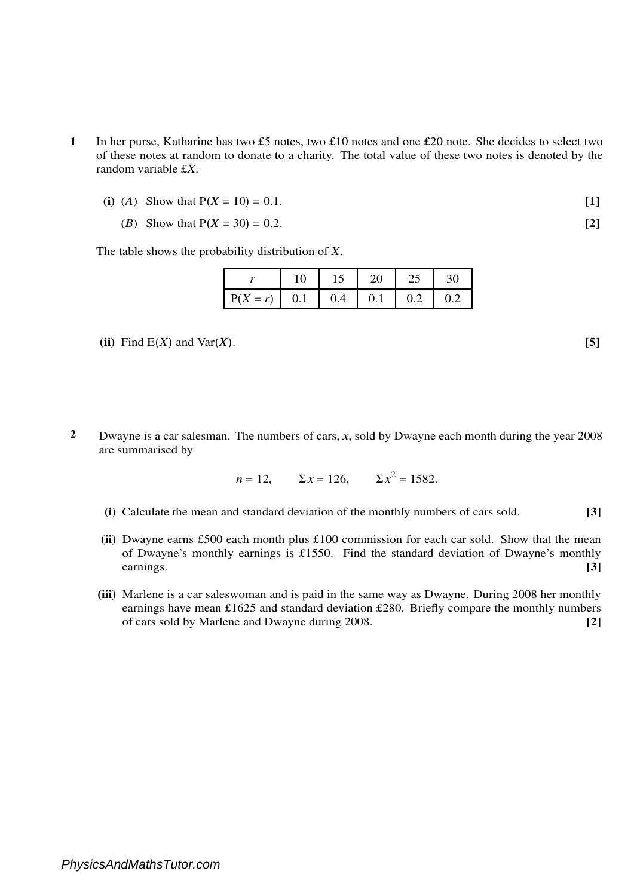- **1** In her purse, Katharine has two £5 notes, two £10 notes and one £20 note. She decides to select two of these notes at random to donate to a charity. The total value of these two notes is denoted by the random variable £*X*.
	- (i) (A) Show that  $P(X = 10) = 0.1$ . [1]
		- (*B*) Show that P(*X* = 30) = 0.2. **[2]**

The table shows the probability distribution of *X*.

|                        | 15 | 20 | 25        | 30  |
|------------------------|----|----|-----------|-----|
| $P(X = r)$   0.1   0.4 |    |    | $0.1$ 0.2 | 0.2 |

- (ii) Find  $E(X)$  and  $Var(X)$ . [5]
- **2** Dwayne is a car salesman. The numbers of cars, *x*, sold by Dwayne each month during the year 2008 are summarised by

$$
n = 12
$$
,  $\Sigma x = 126$ ,  $\Sigma x^2 = 1582$ .

- **(i)** Calculate the mean and standard deviation of the monthly numbers of cars sold. **[3]**
- **(ii)** Dwayne earns £500 each month plus £100 commission for each car sold. Show that the mean of Dwayne's monthly earnings is £1550. Find the standard deviation of Dwayne's monthly earnings. **[3]**
- **(iii)** Marlene is a car saleswoman and is paid in the same way as Dwayne. During 2008 her monthly earnings have mean £1625 and standard deviation £280. Briefly compare the monthly numbers of cars sold by Marlene and Dwayne during 2008. **[2]**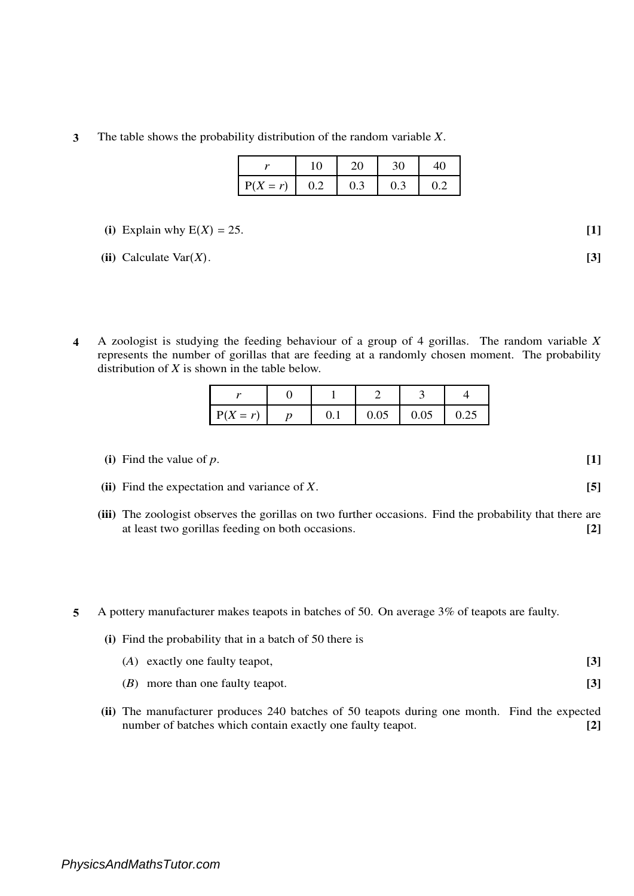**3** The table shows the probability distribution of the random variable *X*.

| $P(X = r)$ | 0.2 | 0.3 | 0.3 |  |
|------------|-----|-----|-----|--|

(i) Explain why 
$$
E(X) = 25
$$
. [1]

**(ii)** Calculate Var $(X)$ . **[3]** 

**4** A zoologist is studying the feeding behaviour of a group of 4 gorillas. The random variable *X* represents the number of gorillas that are feeding at a randomly chosen moment. The probability distribution of *X* is shown in the table below.

| $P(X = r)$ | U. I | 0.05 | 0.05 | 0.25 |
|------------|------|------|------|------|

- **(i)** Find the value of *p*. **[1]**
- **(ii)** Find the expectation and variance of *X*. **[5]**
- **(iii)** The zoologist observes the gorillas on two further occasions. Find the probability that there are at least two gorillas feeding on both occasions. **[2]**
- **5** A pottery manufacturer makes teapots in batches of 50. On average 3% of teapots are faulty.
	- **[3] (i)** Find the probability that in a batch of 50 there is (*A*) exactly one faulty teapot, (*B*) more than one faulty teapot. **[3]**
	- **(ii)** The manufacturer produces 240 batches of 50 teapots during one month. Find the expected number of batches which contain exactly one faulty teapot. **[2]**